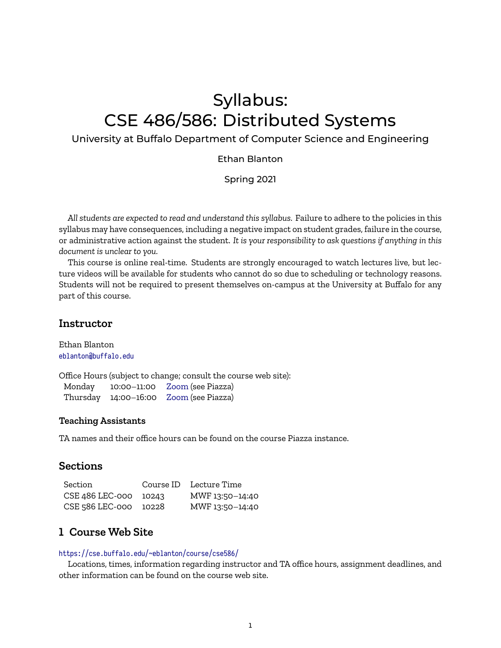# Syllabus: CSE 486/586: Distributed Systems

#### University at Buffalo Department of Computer Science and Engineering

#### Ethan Blanton

Spring 2021

*All students are expected to read and understand this syllabus.* Failure to adhere to the policies in this syllabus may have consequences, including a negative impact on student grades, failure in the course, or administrative action against the student. *It is your responsibility to ask questions if anything in this document is unclear to you.*

This course is online real-time. Students are strongly encouraged to watch lectures live, but lecture videos will be available for students who cannot do so due to scheduling or technology reasons. Students will not be required to present themselves on-campus at the University at Buffalo for any part of this course.

#### **Instructor**

Ethan Blanton <eblanton@buffalo.edu>

Office Hours (subject to change; consult the course web site): Monday 10:00–11:00 [Zoom](https://buffalo.zoom.us/j/785439012) (see Piazza) Thursday 14:00–16:00 [Zoom](https://buffalo.zoom.us/j/785439012) (see Piazza)

#### **Teaching Assistants**

TA names and their office hours can be found on the course Piazza instance.

### **Sections**

| Section               | Course ID Lecture Time |
|-----------------------|------------------------|
| CSE 486 LEC-000 10243 | MWF 13:50-14:40        |
| CSE 586 LEC-000 10228 | MWF 13:50-14:40        |

## **1 Course Web Site**

#### <https://cse.buffalo.edu/~eblanton/course/cse586/>

Locations, times, information regarding instructor and TA office hours, assignment deadlines, and other information can be found on the course web site.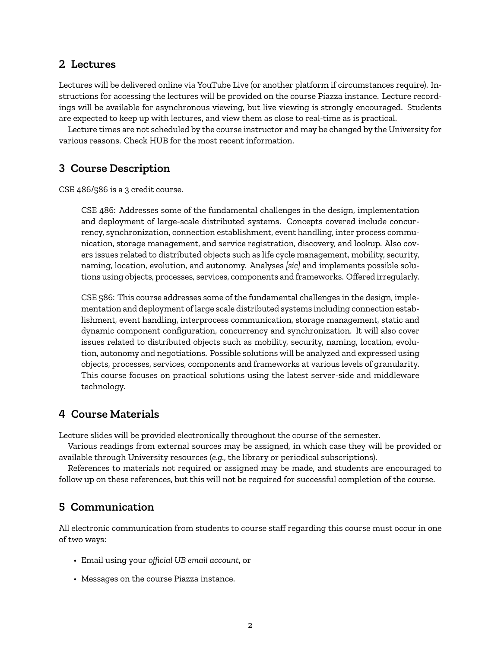# **2 Lectures**

Lectures will be delivered online via YouTube Live (or another platform if circumstances require). Instructions for accessing the lectures will be provided on the course Piazza instance. Lecture recordings will be available for asynchronous viewing, but live viewing is strongly encouraged. Students are expected to keep up with lectures, and view them as close to real-time as is practical.

Lecture times are not scheduled by the course instructor and may be changed by the University for various reasons. Check HUB for the most recent information.

# **3 Course Description**

CSE 486/586 is a 3 credit course.

CSE 486: Addresses some of the fundamental challenges in the design, implementation and deployment of large-scale distributed systems. Concepts covered include concurrency, synchronization, connection establishment, event handling, inter process communication, storage management, and service registration, discovery, and lookup. Also covers issues related to distributed objects such as life cycle management, mobility, security, naming, location, evolution, and autonomy. Analyses *[sic]* and implements possible solutions using objects, processes, services, components and frameworks. Offered irregularly.

CSE 586: This course addresses some of the fundamental challenges in the design, implementation and deployment of large scale distributed systems including connection establishment, event handling, interprocess communication, storage management, static and dynamic component configuration, concurrency and synchronization. It will also cover issues related to distributed objects such as mobility, security, naming, location, evolution, autonomy and negotiations. Possible solutions will be analyzed and expressed using objects, processes, services, components and frameworks at various levels of granularity. This course focuses on practical solutions using the latest server-side and middleware technology.

# **4 Course Materials**

Lecture slides will be provided electronically throughout the course of the semester.

Various readings from external sources may be assigned, in which case they will be provided or available through University resources (*e.g.*, the library or periodical subscriptions).

References to materials not required or assigned may be made, and students are encouraged to follow up on these references, but this will not be required for successful completion of the course.

# **5 Communication**

All electronic communication from students to course staff regarding this course must occur in one of two ways:

- Email using your *official UB email account*, or
- Messages on the course Piazza instance.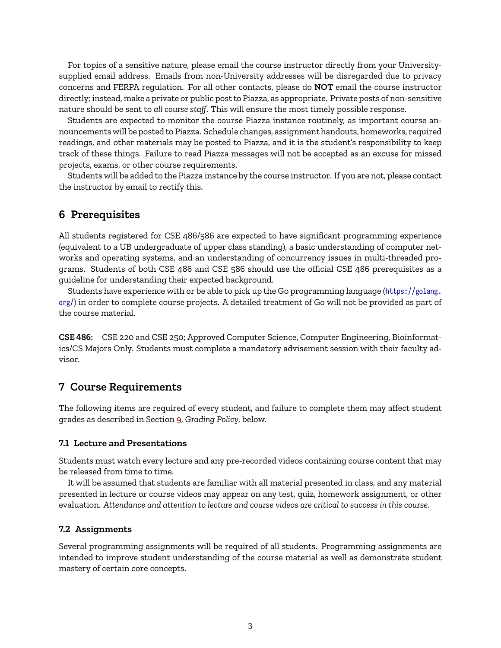For topics of a sensitive nature, please email the course instructor directly from your Universitysupplied email address. Emails from non-University addresses will be disregarded due to privacy concerns and FERPA regulation. For all other contacts, please do **NOT** email the course instructor directly; instead, make a private or public post to Piazza, as appropriate. Private posts of non-sensitive nature should be sent to *all course staff*. This will ensure the most timely possible response.

Students are expected to monitor the course Piazza instance routinely, as important course announcements will be posted to Piazza. Schedule changes, assignment handouts, homeworks, required readings, and other materials may be posted to Piazza, and it is the student's responsibility to keep track of these things. Failure to read Piazza messages will not be accepted as an excuse for missed projects, exams, or other course requirements.

Students will be added to the Piazza instance by the course instructor. If you are not, please contact the instructor by email to rectify this.

### **6 Prerequisites**

All students registered for CSE 486/586 are expected to have significant programming experience (equivalent to a UB undergraduate of upper class standing), a basic understanding of computer networks and operating systems, and an understanding of concurrency issues in multi-threaded programs. Students of both CSE 486 and CSE 586 should use the official CSE 486 prerequisites as a guideline for understanding their expected background.

Students have experience with or be able to pick up the Go programming language ([https://golang.](https://golang.org/) [org/](https://golang.org/)) in order to complete course projects. A detailed treatment of Go will not be provided as part of the course material.

**CSE 486:** CSE 220 and CSE 250; Approved Computer Science, Computer Engineering, Bioinformatics/CS Majors Only. Students must complete a mandatory advisement session with their faculty advisor.

#### **7 Course Requirements**

The following items are required of every student, and failure to complete them may affect student grades as described in Section [9,](#page-5-0) *Grading Policy*, below.

#### **7.1 Lecture and Presentations**

Students must watch every lecture and any pre-recorded videos containing course content that may be released from time to time.

It will be assumed that students are familiar with all material presented in class, and any material presented in lecture or course videos may appear on any test, quiz, homework assignment, or other evaluation. *Attendance and attention to lecture and course videos are critical to success in this course.*

#### **7.2 Assignments**

Several programming assignments will be required of all students. Programming assignments are intended to improve student understanding of the course material as well as demonstrate student mastery of certain core concepts.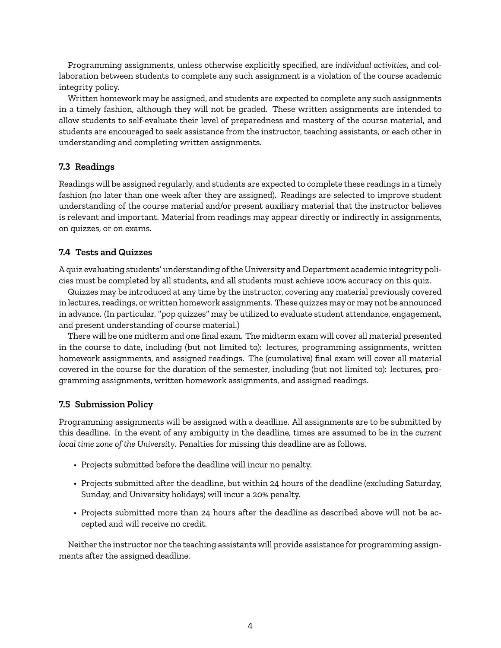Programming assignments, unless otherwise explicitly specified, are *individual activities*, and collaboration between students to complete any such assignment is a violation of the course academic integrity policy.

Written homework may be assigned, and students are expected to complete any such assignments in a timely fashion, although they will not be graded. These written assignments are intended to allow students to self-evaluate their level of preparedness and mastery of the course material, and students are encouraged to seek assistance from the instructor, teaching assistants, or each other in understanding and completing written assignments.

#### **7.3 Readings**

Readings will be assigned regularly, and students are expected to complete these readings in a timely fashion (no later than one week after they are assigned). Readings are selected to improve student understanding of the course material and/or present auxiliary material that the instructor believes is relevant and important. Material from readings may appear directly or indirectly in assignments, on quizzes, or on exams.

#### **7.4 Tests and Quizzes**

A quiz evaluating students' understanding of the University and Department academic integrity policies must be completed by all students, and all students must achieve 100% accuracy on this quiz.

Quizzes may be introduced at any time by the instructor, covering any material previously covered in lectures, readings, or written homework assignments. These quizzes may or may not be announced in advance. (In particular, "pop quizzes" may be utilized to evaluate student attendance, engagement, and present understanding of course material.)

There will be one midterm and one final exam. The midterm exam will cover all material presented in the course to date, including (but not limited to): lectures, programming assignments, written homework assignments, and assigned readings. The (cumulative) final exam will cover all material covered in the course for the duration of the semester, including (but not limited to): lectures, programming assignments, written homework assignments, and assigned readings.

#### **7.5 Submission Policy**

Programming assignments will be assigned with a deadline. All assignments are to be submitted by this deadline. In the event of any ambiguity in the deadline, times are assumed to be in the *current local time zone of the University*. Penalties for missing this deadline are as follows.

- Projects submitted before the deadline will incur no penalty.
- Projects submitted after the deadline, but within 24 hours of the deadline (excluding Saturday, Sunday, and University holidays) will incur a 20% penalty.
- Projects submitted more than 24 hours after the deadline as described above will not be accepted and will receive no credit.

Neither the instructor nor the teaching assistants will provide assistance for programming assignments after the assigned deadline.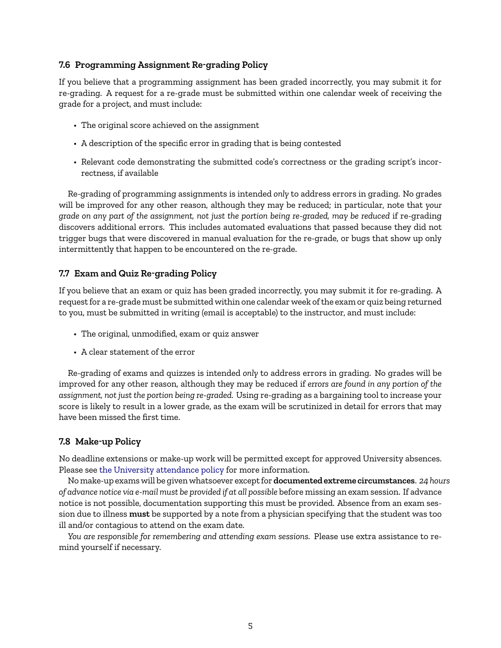### <span id="page-4-0"></span>**7.6 Programming Assignment Re-grading Policy**

If you believe that a programming assignment has been graded incorrectly, you may submit it for re-grading. A request for a re-grade must be submitted within one calendar week of receiving the grade for a project, and must include:

- The original score achieved on the assignment
- A description of the specific error in grading that is being contested
- Relevant code demonstrating the submitted code's correctness or the grading script's incorrectness, if available

Re-grading of programming assignments is intended *only* to address errors in grading. No grades will be improved for any other reason, although they may be reduced; in particular, note that *your grade on any part of the assignment, not just the portion being re-graded, may be reduced* if re-grading discovers additional errors. This includes automated evaluations that passed because they did not trigger bugs that were discovered in manual evaluation for the re-grade, or bugs that show up only intermittently that happen to be encountered on the re-grade.

## <span id="page-4-1"></span>**7.7 Exam and Quiz Re-grading Policy**

If you believe that an exam or quiz has been graded incorrectly, you may submit it for re-grading. A request for a re-grade must be submitted within one calendar week of the exam or quiz being returned to you, must be submitted in writing (email is acceptable) to the instructor, and must include:

- The original, unmodified, exam or quiz answer
- A clear statement of the error

Re-grading of exams and quizzes is intended *only* to address errors in grading. No grades will be improved for any other reason, although they may be reduced if *errors are found in any portion of the assignment, not just the portion being re-graded.* Using re-grading as a bargaining tool to increase your score is likely to result in a lower grade, as the exam will be scrutinized in detail for errors that may have been missed the first time.

## **7.8 Make-up Policy**

No deadline extensions or make-up work will be permitted except for approved University absences. Please see [the University attendance policy](https://catalog.buffalo.edu/policies/attendance.html) for more information.

No make-up exams will be given whatsoever except for **documented extreme circumstances**. *24 hours of advance notice via e-mail must be provided if at all possible* before missing an exam session. If advance notice is not possible, documentation supporting this must be provided. Absence from an exam session due to illness **must** be supported by a note from a physician specifying that the student was too ill and/or contagious to attend on the exam date.

*You are responsible for remembering and attending exam sessions.* Please use extra assistance to remind yourself if necessary.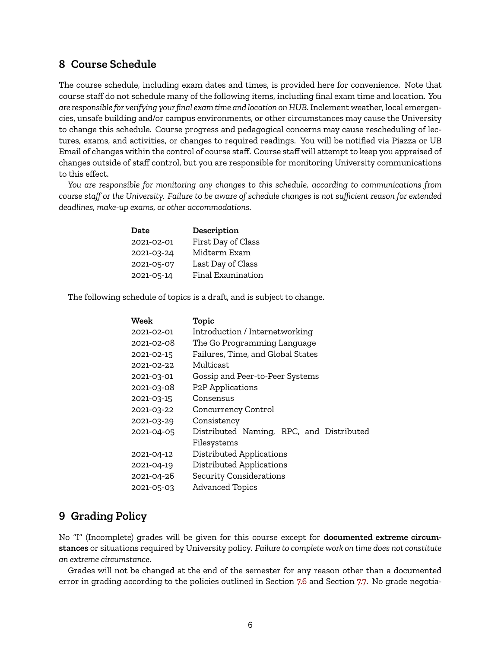# **8 Course Schedule**

The course schedule, including exam dates and times, is provided here for convenience. Note that course staff do not schedule many of the following items, including final exam time and location. *You are responsible for verifying your final exam time and location on HUB.* Inclement weather, local emergencies, unsafe building and/or campus environments, or other circumstances may cause the University to change this schedule. Course progress and pedagogical concerns may cause rescheduling of lectures, exams, and activities, or changes to required readings. You will be notified via Piazza or UB Email of changes within the control of course staff. Course staff will attempt to keep you appraised of changes outside of staff control, but you are responsible for monitoring University communications to this effect.

*You are responsible for monitoring any changes to this schedule, according to communications from course staff or the University. Failure to be aware of schedule changes is not sufficient reason for extended deadlines, make-up exams, or other accommodations.*

| Date       | Description        |
|------------|--------------------|
| 2021-02-01 | First Day of Class |
| 2021-03-24 | Midterm Exam       |
| 2021-05-07 | Last Day of Class  |
| 2021-05-14 | Final Examination  |

The following schedule of topics is a draft, and is subject to change.

| Week       | Topic                                    |
|------------|------------------------------------------|
| 2021-02-01 | Introduction / Internetworking           |
| 2021-02-08 | The Go Programming Language              |
| 2021-02-15 | Failures, Time, and Global States        |
| 2021-02-22 | Multicast                                |
| 2021-03-01 | Gossip and Peer-to-Peer Systems          |
| 2021-03-08 | <b>P2P</b> Applications                  |
| 2021-03-15 | Consensus                                |
| 2021-03-22 | Concurrency Control                      |
| 2021-03-29 | Consistency                              |
| 2021-04-05 | Distributed Naming, RPC, and Distributed |
|            | Filesystems                              |
| 2021-04-12 | Distributed Applications                 |
| 2021-04-19 | Distributed Applications                 |
| 2021-04-26 | Security Considerations                  |
| 2021-05-03 | <b>Advanced Topics</b>                   |

## <span id="page-5-0"></span>**9 Grading Policy**

No "I" (Incomplete) grades will be given for this course except for **documented extreme circumstances** or situations required by University policy. *Failure to complete work on time does not constitute an extreme circumstance.*

Grades will not be changed at the end of the semester for any reason other than a documented error in grading according to the policies outlined in Section [7.6](#page-4-0) and Section [7.7.](#page-4-1) No grade negotia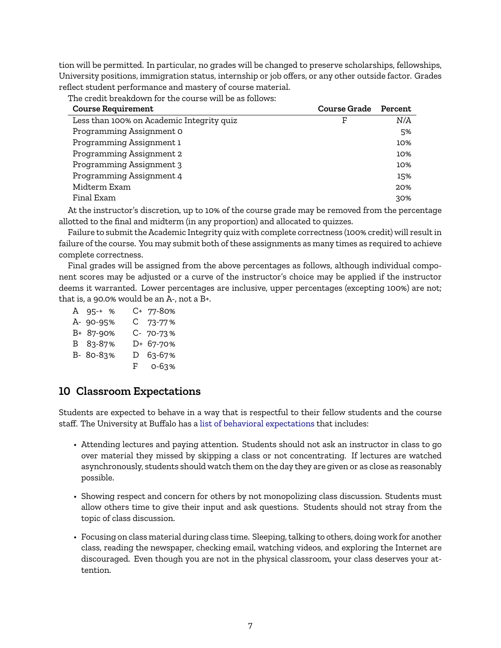tion will be permitted. In particular, no grades will be changed to preserve scholarships, fellowships, University positions, immigration status, internship or job offers, or any other outside factor. Grades reflect student performance and mastery of course material.

The credit breakdown for the course will be as follows:

| <b>Course Requirement</b>                 | <b>Course Grade</b> | Percent |
|-------------------------------------------|---------------------|---------|
| Less than 100% on Academic Integrity quiz | F                   | N/A     |
| Programming Assignment 0                  |                     | 5%      |
| Programming Assignment 1                  |                     | 10%     |
| Programming Assignment 2                  |                     | 10%     |
| Programming Assignment 3                  |                     | 10%     |
| Programming Assignment 4                  |                     | 15%     |
| Midterm Exam                              |                     | 20%     |
| Final Exam                                |                     | 30%     |
|                                           |                     |         |

At the instructor's discretion, up to 10% of the course grade may be removed from the percentage allotted to the final and midterm (in any proportion) and allocated to quizzes.

Failure to submit the Academic Integrity quiz with complete correctness (100% credit) will result in failure of the course. You may submit both of these assignments as many times as required to achieve complete correctness.

Final grades will be assigned from the above percentages as follows, although individual component scores may be adjusted or a curve of the instructor's choice may be applied if the instructor deems it warranted. Lower percentages are inclusive, upper percentages (excepting 100%) are not; that is, a 90.0% would be an A-, not a B+.

| A 95-+ %  | C+ 77-80% |
|-----------|-----------|
| A- 90-95% | C 73-77%  |
| B+ 87-90% | C- 70-73% |
| B 83-87%  | D+ 67-70% |
| B- 80-83% | D 63-67%  |
|           | F 0-63%   |

# **10 Classroom Expectations**

Students are expected to behave in a way that is respectful to their fellow students and the course staff. The University at Buffalo has a [list of behavioral expectations](https://catalog.buffalo.edu/policies/obstruction.html) that includes:

- Attending lectures and paying attention. Students should not ask an instructor in class to go over material they missed by skipping a class or not concentrating. If lectures are watched asynchronously, students should watch them on the day they are given or as close as reasonably possible.
- Showing respect and concern for others by not monopolizing class discussion. Students must allow others time to give their input and ask questions. Students should not stray from the topic of class discussion.
- Focusing on class material during class time. Sleeping, talking to others, doing work for another class, reading the newspaper, checking email, watching videos, and exploring the Internet are discouraged. Even though you are not in the physical classroom, your class deserves your attention.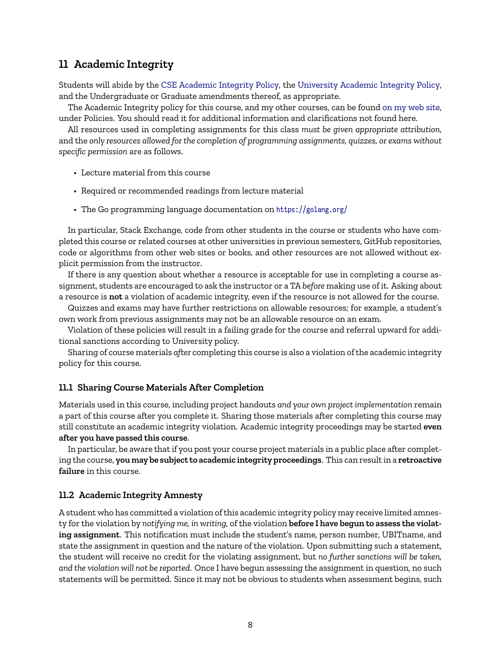# **11 Academic Integrity**

Students will abide by the [CSE Academic Integrity Policy,](https://engineering.buffalo.edu/computer-science-engineering/information-for-students/policies/academic-integrity.html) the [University Academic Integrity Policy,](https://catalog.buffalo.edu/policies/integrity.html) and the Undergraduate or Graduate amendments thereof, as appropriate.

The Academic Integrity policy for this course, and my other courses, can be found [on my web site,](https://cse.buffalo.edu/~eblanton/policy/academic_integrity/) under Policies. You should read it for additional information and clarifications not found here.

All resources used in completing assignments for this class *must be given appropriate attribution*, and the *only resources allowed for the completion of programming assignments, quizzes, or exams without specific permission* are as follows.

- Lecture material from this course
- Required or recommended readings from lecture material
- The Go programming language documentation on <https://golang.org/>

In particular, Stack Exchange, code from other students in the course or students who have completed this course or related courses at other universities in previous semesters, GitHub repositories, code or algorithms from other web sites or books, and other resources are not allowed without explicit permission from the instructor.

If there is any question about whether a resource is acceptable for use in completing a course assignment, students are encouraged to ask the instructor or a TA *before* making use of it. Asking about a resource is **not** a violation of academic integrity, even if the resource is not allowed for the course.

Quizzes and exams may have further restrictions on allowable resources; for example, a student's own work from previous assignments may not be an allowable resource on an exam.

Violation of these policies will result in a failing grade for the course and referral upward for additional sanctions according to University policy.

Sharing of course materials *after* completing this course is also a violation of the academic integrity policy for this course.

#### **11.1 Sharing Course Materials After Completion**

Materials used in this course, including project handouts *and your own project implementation* remain a part of this course after you complete it. Sharing those materials after completing this course may still constitute an academic integrity violation. Academic integrity proceedings may be started **even after you have passed this course**.

In particular, be aware that if you post your course project materials in a public place after completing the course, **you may be subject to academic integrity proceedings**. This can result in a **retroactive failure** in this course.

#### **11.2 Academic Integrity Amnesty**

A student who has committed a violation of this academic integrity policy may receive limited amnesty for the violation by *notifying me, in writing,* of the violation **before I have begun to assess the violating assignment**. This notification must include the student's name, person number, UBITname, and state the assignment in question and the nature of the violation. Upon submitting such a statement, the student will receive no credit for the violating assignment, but *no further sanctions will be taken, and the violation will not be reported*. Once I have begun assessing the assignment in question, no such statements will be permitted. Since it may not be obvious to students when assessment begins, such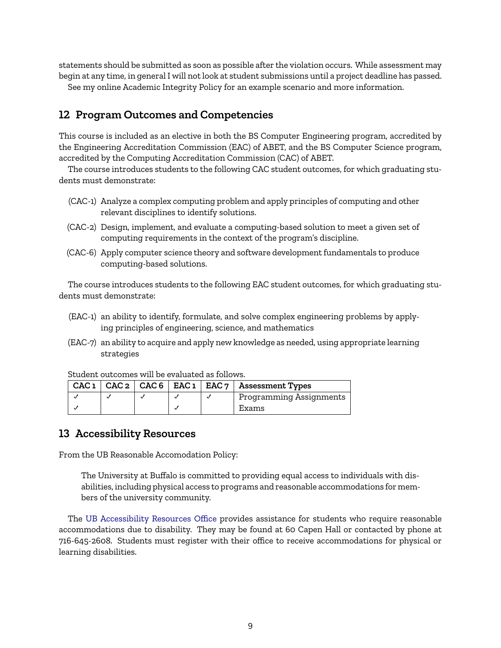statements should be submitted as soon as possible after the violation occurs. While assessment may begin at any time, in general I will not look at student submissions until a project deadline has passed.

See my online Academic Integrity Policy for an example scenario and more information.

# **12 Program Outcomes and Competencies**

This course is included as an elective in both the BS Computer Engineering program, accredited by the Engineering Accreditation Commission (EAC) of ABET, and the BS Computer Science program, accredited by the Computing Accreditation Commission (CAC) of ABET.

The course introduces students to the following CAC student outcomes, for which graduating students must demonstrate:

- (CAC-1) Analyze a complex computing problem and apply principles of computing and other relevant disciplines to identify solutions.
- (CAC-2) Design, implement, and evaluate a computing-based solution to meet a given set of computing requirements in the context of the program's discipline.
- (CAC-6) Apply computer science theory and software development fundamentals to produce computing-based solutions.

The course introduces students to the following EAC student outcomes, for which graduating students must demonstrate:

- (EAC-1) an ability to identify, formulate, and solve complex engineering problems by applying principles of engineering, science, and mathematics
- (EAC-7) an ability to acquire and apply new knowledge as needed, using appropriate learning strategies

|  |  | CAC $1  $ CAC $2  $ CAC $6  $ EAC $1  $ EAC $7  $ Assessment Types |
|--|--|--------------------------------------------------------------------|
|  |  | Programming Assignments                                            |
|  |  | Exams                                                              |

# **13 Accessibility Resources**

From the UB Reasonable Accomodation Policy:

The University at Buffalo is committed to providing equal access to individuals with disabilities, including physical access to programs and reasonable accommodations for members of the university community.

The [UB Accessibility Resources Office](http://www.buffalo.edu/studentlife/who-we-are/departments/accessibility.html) provides assistance for students who require reasonable accommodations due to disability. They may be found at 60 Capen Hall or contacted by phone at 716-645-2608. Students must register with their office to receive accommodations for physical or learning disabilities.